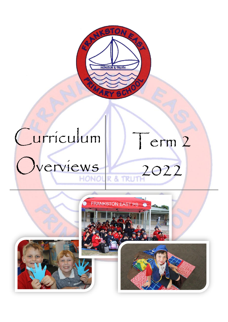

Term 2

2022

# Curriculum

# Overviews L

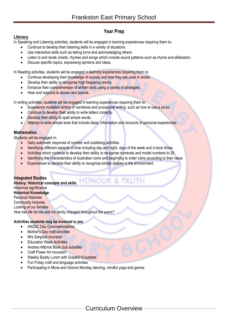# **Year Prep**

# **Literacy**

In Speaking and Listening activities, students will be engaged in learning experiences requiring them to:

- Continue to develop their listening skills in a variety of situations.
- Use interactive skills such as taking turns and acknowledging others.
- Listen to and recite chants, rhymes and songs which include sound patterns such as rhyme and alliteration.
- Discuss specific topics, expressing opinions and ideas.

In Reading activities, students will be engaged in learning experiences requiring them to:

- Continue developing their knowledge of sounds and how they are used in words.
- Develop their ability to recognise high frequency words.
- Enhance their comprehension of written texts using a variety of strategies.
- Hear and respond to stories and poems.

In writing activities, students will be engaged in learning experiences requiring them to:

- Experience modelled writing of narratives and procedural writing, such as how to use a yo-yo.
- Continue to develop their ability to write letters correctly.
- Develop their ability to spell simple words.
- Attempt to write simple texts that include ideas, information and recounts of personal experiences.

# **Mathematics**

Students will be engaged in:

- Daily automatic response of number and subitising activities.
- Identifying different aspects of time including day and night, days of the week and o'clock times.
- Activities which continue to develop their ability to recognise numerals and model numbers to 20.
- Identifying the characteristics of Australian coins and beginning to order coins according to their value
- Experiences to develop their ability to recognise simple shapes in the environment.

**Integrated Studies History: Historical concepts and skills** Historical significance **Historical Knowledge** Personal Histories Community histories *Looking at our families How has life for me and my family changed throughout the years?*

# **Activities students may be involved in are:**

- ANZAC Day Commemorations
- Mother's Day craft activities
- Mrs Sargood incursion
- **Education Week Activities**
- Andrea Hillbrick Book club activities
- Craft Power Art incursion
- Weekly Buddy Lunch with Grade<sup>5</sup>/ 6 buddies
- Fun Friday craft and language activities
- Participating in Move and Groove Monday dancing, mindful yoga and games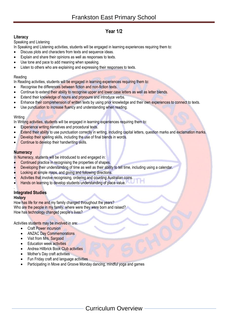# **Year 1/2**

# **Literacy**

#### Speaking and Listening

In Speaking and Listening activities, students will be engaged in learning experiences requiring them to:

- Discuss plots and characters from texts and sequence ideas.
- Explain and share their opinions as well as responses to texts.
- Use tone and pace to add meaning when speaking.
- Listen to others who are explaining and expressing their responses to texts.

#### Reading

In Reading activities, students will be engaged in learning experiences requiring them to:

- Recognise the differences between fiction and non-fiction texts.
- Continue to extend their ability to recognise upper and lower case letters as well as letter blends.
- Extend their knowledge of nouns and pronouns and introduce verbs.
- Enhance their comprehension of written texts by using prior knowledge and their own experiences to connect to texts.
- Use punctuation to increase fluency and understanding when reading.

#### **Writing**

In Writing activities, students will be engaged in learning experiences requiring them to:

- Experience writing narratives and procedural texts.
- Extend their ability to use punctuation correctly in writing, including capital letters, question marks and exclamation marks.
- Develop their spelling skills, including the use of final blends in words.
- Continue to develop their handwriting skills.

# **Numeracy**

In Numeracy, students will be introduced to and engaged in:

- Continued practice in recognising the properties of shapes.
- Developing their understanding of time as well as their ability to tell time, including using a calendar.
- Looking at simple maps, and giving and following directions.
- Activities that involve recognising, ordering and counting Australian coins.
- Hands on learning to develop students understanding of place value.

#### . **Integrated Studies**

#### **History**

How has life for me and my family changed throughout the years? Who are the people in my family, where were they were born and raised? How has technology changed people's lives?

Activities students may be involved in are:

- Craft Power incursion
- ANZAC Day Commemorations
- Visit from Mrs. Sargood
- **Education week activities**
- Andrea Hillbrick Book Club activities
- Mother's Day craft activities
- Fun Friday craft and language activities
- Participating in Move and Groove Monday dancing, mindful yoga and games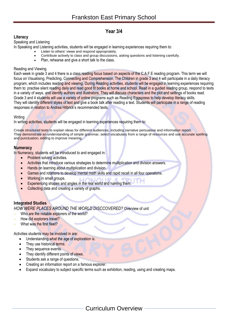# **Year 3/4**

# **Literacy**

#### Speaking and Listening

In Speaking and Listening activities, students will be engaged in learning experiences requiring them to:

- Listen to others' views and respond appropriately.
- Contribute actively to class and group discussions, asking questions and listening carefully.
- Plan, rehearse and give a short talk to the class.

# Reading and Viewing

Each week in grade 3 and 4 there is a class reading focus based on aspects of the C.A.F.E reading program. This term we will focus on Visualising, Predicting, Connecting and Comprehension. The Children in grade 3 and 4 will participate in a daily literacy program, which includes reading and viewing. During Reading activities, students will be engaged in learning experiences requiring them to: practise silent reading daily and read good fit books at home and school. Read in a guided reading group, respond to texts in a variety of ways, and identify authors and illustrators. They will discuss characters and the plot and settings of books read. Grade 3 and 4 students will use a variety of online programs such as Reading Eggspress to help develop literacy skills. They will identify different styles of text and give a book talk after reading a text. Students will participate in a range of reading responses in relation to Andrea Hilbrick's recommended texts.

#### Writing

In writing activities, students will be engaged in learning experiences requiring them to:

Create structured texts to explain ideas for different audiences, including narrative persuasive and information report. They demonstrate an understanding of simple grammar, select vocabulary from a range of resources and use accurate spelling and punctuation, editing to improve meaning.

# **Numeracy**

In Numeracy, students will be introduced to and engaged in:

- Problem solving activities.
- Activities that introduce various strategies to determine multiplication and division answers.
- **Hands on learning about multiplication and division.**
- Games and rotations to develop mental math skills and rapid recall in all four operations.
- Working in small groups.
- **Experiencing shapes and angles in the real world and naming them.**
- Collecting data and creating a variety of graphs.

# **Integrated Studies**

*HOW WERE PLACES AROUND THE WORLD DISCCOVERED?* Overview of unit

- Who are the notable explorers of the world?
- How did explorers travel?
- What was the first fleet?

Activities students may be involved in are:

- Understanding what the age of exploration is.
- They use historical terms.
- They sequence events.
- They identify different points of views.
- Students ask a range of questions.
- Creating an information report on a famous explorer.
- Expand vocabulary to subject specific terms such as exhibition, reading, using and creating maps.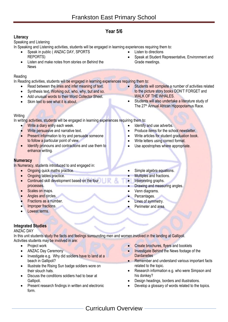# **Year 5/6**

# **Literacy**

# Speaking and Listening

In Speaking and Listening activities, students will be engaged in learning experiences requiring them to:

- Speak in public ( ANZAC DAY, SPORTS REPORTS)
- Listen and make notes from stories on Behind the News

# Reading

In Reading activities, students will be engaged in learning experiences requiring them to:

- Read between the lines and infer meaning of text.
- Synthesis text. Working out, who, why, but and so.
- Add unusual words to their Word Collector Sheet.
- Skim text to see what it is about.

Speak at Student Representative, Environment and

- Students will complete a number of activities related to the picture story books DON'T FORGET and WALK OF THE WHALES.
- Students will also undertake a literature study of The 27<sup>th</sup> Annual African Hippopotamus Race.

 Produce items for the school newsletter. • Write articles for student graduation book. Write letters using correct format. Use apostrophes where appropriate.

# **Writing**

In writing activities, students will be engaged in learning experiences requiring them to:

- Write a diary entry each week.
- Write persuasive and narrative text.
- **•** Present information to try and persuade someone to follow a particular point of view.
- Identify pronouns and contractions and use them to enhance writing.

# **Numeracy**

In Numeracy, students introduced to and engaged in:

- Ongoing quick maths practice.
- Ongoing tables practice.
- **Continued skill development based on the four** processes.
- Scales on maps.
- Angles and circles.
- Fractions as a number.
- Improper fractions.
- Lowest terms.

# **Integrated Studies**

# ANZAC DAY

In this unit students study the facts and feelings surrounding men and women involved in the landing at Gallipoli. Activities students may be involved in are:

- Project work
- ANZAC Day Ceremony
- Investigate e.g. Why did soldiers have to land at a beach in Gallipoli?
- Illustrate the Rising Sun badge soldiers wore on their slouch hats.
- Discuss the conditions soldiers had to bear at Gallipoli.
- Present research findings in written and electronic form.
- Create brochures, flyers and booklets
- Investigate Behind the News footage of the **Dardanelles**
- Remember and understand various important facts related to the topic.
- Research information e.g. who were Simpson and his donkey?
- Design headings, borders and illustrations.
- Develop a glossary of words related to the topics.
- Simple algebra equations.
- Multiples and fractions.

Identify and use adverbs.

Listen to directions

Grade meetings.

- Interpreting graphs.
- Drawing and measuring angles.
- Venn diagrams.
- Percentages.
- Lines of symmetry.
- Perimeter and area.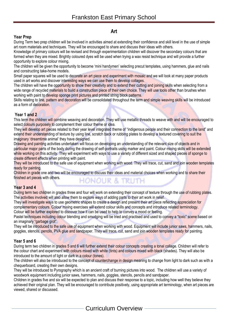# **Art**

# **Year Prep**

During Term two prep children will be involved in activities aimed at extending their confidence and skill level in the use of simple art room materials and techniques. They will be encouraged to share and discuss their ideas with others.

Knowledge of primary colours will be revised and through experimentation children will discover the secondary colours that are formed when they are mixed. Brightly coloured dyes will be used when trying a wax resist technique and will provide a further opportunity to explore colour mixing.

The children will be given the opportunity to become 'mini handymen' selecting precut templates, using hammers, glue and nails and constructing take-home models.

Small paper squares will be used to decorate an art piece and experiment with mosaic and we will look at many paper products used in art works and discover interesting ways we can use them to develop collages.

The children will have the opportunity to show their creativity and to extend their cutting and joining skills when selecting from a wide range of recycled materials to build a construction piece of their own choice. They will use tools other than brushes when working with paint to develop sponge print pictures and printed string block patterns.

Skills relating to line, pattern and decoration will be consolidated throughout the term and simple weaving skills will be introduced as a form of decoration.

#### **Year 1 and 2**

This term the children will combine weaving and decoration. They will use metallic threads to weave with and will be encouraged to select colours purposely to complement their colour theme or idea.

They will develop art pieces related to their year level integrated theme of "indigenous people and their connection to the land" and extend their understanding of texture by using line, scratch back or rubbing plates to develop a textured covering to suit the imaginary 'dreamtime animal' they have designed.

Drawing and painting activities undertaken will focus on developing an understanding of the relevant size of objects and in particular major parts of the body during the drawing of self-portraits using marker and paint. Colour mixing skills will be extended while working on this activity. They will experiment with ways to use a variety of different sized and shaped pieces of sponge to create different effects when printing with paint.

They will be introduced to the safe use of equipment when working with wood. They will trace, cut, sand and join wooden templates ready for painting.

Children in grade one and two will be encouraged to discuss their ideas and material choices when working and to share their finished art pieces with others. **HONOUR & TRUTH** 

# **Year 3 and 4**

During term two children in grades three and four will work on extending their concept of texture through the use of rubbing plates. The activities involved will also allow them to explore ways of adding parts to their art work in relief.

They will investigate ways to use geometric shapes to create a design and present their art piece reflecting appreciation for complementary colours. Colour mixing exercises will extend colour skills and concepts and introduce related terminology. Colour will be further explored to discover how it can be used to help to convey a mood or feeling.

Pastel techniques including colour blending and smudging will be tried and practised and used to convey a "toxic" scene based on an imaginary "garbage grot".

They will be introduced to the safe use of equipment when working with wood. Equipment will include junior saws, hammers, nails, goggles, stencils, pencils, PVA glue and sandpaper. They will trace, cut, sand and join wooden templates ready for painting.

#### **Year 5 and 6**

During term two children in grades 5 and 6 will further extend their colour concepts creating a tonal collage. Children will refer to the colour chart and experiment with colours mixed with white (tints) and colours mixed with black (shades). They will also be introduced to the amount of light or dark in a colour (tones).

The children will also be introduced to the concept of counterchange in design meaning to change from light to dark such as with a chequerboard, creating their own designs.

They will be introduced to Pyrography which is an ancient craft of burning pictures into wood. The children will use a variety of woodwork equipment including junior saws, hammers, nails, goggles, stencils, pencils and sandpaper.

Children in grades five and six will be expected to plan and discuss their response to a topic, including how well they believe they achieved their original plan. They will be encouraged to contribute positively, using appropriate art terminology, when art pieces are viewed, shared or discussed.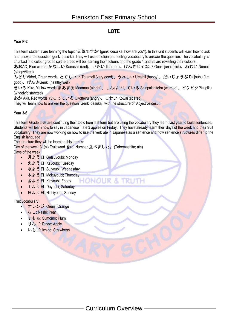# **LOTE**

# **Year P-2**

This term students are learning the topic '元気ですか' (genki desu ka; how are you?). In this unit students will learn how to ask and answer the question genki desu ka. They will use emotion and feeling vocabulary to answer the question. The vocabulary is chunked into colour groups so the preps will be learning their colours and the grade 1 and 2s are revisiting their colours.

あおAO, Blue words: かなしい Kanashii (sad)、いたい Itai (hurt)、げんきじゃない Genki janai (sick)、ねむい Nemui (sleepy/tired)

みどりMidori, Green words: とてもいい Totemoii (very good)、うれしい Ureshii (happy)、だいじょうぶ Daijoubu (I'm good)、げんきGenki (healthy/well)

きいろ Kiiro, Yellow words:まあまあ Maamaa (alright)、しんぱいしている Shinpaishiteiru (worried)、ピクピクPikupiku (wriggly/distracted)

あか Aka, Red words:おこっている Okotteiru (angry)、こわい Kowai (scared)

They will learn how to answer the question 'Genki desuka', with the structure of 'Adjective desu.'

#### **Year 3-6**

This term Grade 3-6s are continuing their topic from last term but are using the vocabulary they learnt last year to build sentences. Students will learn how to say in Japanese 'I ate 3 apples on Friday.' They have already learnt their days of the week and their fruit vocabulary. They are now working on how to use the verb ate in Japanese as a sentence and how sentence structures differ to the English language.

The structure they will be learning this term is:

Day of the week (こ(ni) Fruit word を(o) Number 食べました。(Tabemashita; ate) Days of the week:

- 月よう日; Getsuyoubi; Monday
- 火よう日; Kayoubi; Tuesday
- 水よう日; Suiyoubi; Wednesday
- 木よう日; Mokuyoubi; Thursday **HONOUR & TRUTH**
- 金よう日; Kinyoubi; Friday
- 土よう日; Doyoubi; Saturday
- 日よう日; Nichiyoubi; Sunday

Fruit vocabulary:

- オレンジ; Orenji; Orange
- なし; Nashi; Pear
- すもも; Sumomo; Plum
- りんご; Ringo; Apple
- いちご; Ichigo; Strawberry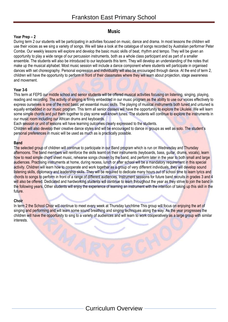# **Music**

#### **Year Prep – 2**

During term 2 our students will be participating in activities focused on music, dance and drama. In most lessons the children will use their voices as we sing a variety of songs. We will take a look at the catalogue of songs recorded by Australian performer Peter Combe. Our weekly lessons will explore and develop the basic music skills of beat, rhythm and tempo. They will be given an opportunity to play a wide range of our percussion instruments, both as a whole class participant and as part of a smaller ensemble. The students will also be introduced to our keyboards this term. They will develop an understanding of the notes that make up the musical alphabet. Most music session will include a dance component where students will participate in organised dances with set choreography. Personal expression and individuality will also be encouraged through dance. At the end of term 2, children will have the opportunity to perform in front of their classmates where they will learn about projection, stage awareness and movement.

#### **Year 3-6**

This term at FEPS our middle school and senior students will be offered musical activities focusing on listening, singing, playing, reading and recording. The activity of singing is firmly embedded in our music program as the ability to use our voices effectively to express ourselves is one of the most basic yet essential music skills. The playing of musical instruments both tuned and untuned is equally embedded in our music program. This term all senior classes will have the opportunity to explore the Ukulele. We will learn some simple chords and put them together to play some well-known tunes. The students will continue to explore the instruments in our music room including our African drums and keyboards.

Each session or unit of lessons will have learning outcomes clearly expressed to the students.

Children will also develop their creative dance styles and will be encouraged to dance in groups as well as solo. The student's personal preferences in music will be used as much as is practically possible.

#### **Band**

The selected group of children will continue to participate in our Band program which is run on Wednesday and Thursday afternoons. The band members will reinforce the skills learnt on their instruments (keyboards, bass, guitar, drums, vocals), learn how to read simple chord sheet music, rehearse songs chosen by the band, and perform later in the year to both small and large audiences. Practising instruments at home, during recess, lunch or after school will be a mandatory requirement in this special activity. Children will learn how to cooperate and work together as a group of very different individuals, they will develop sound listening skills, diplomacy and leadership skills. They will be required to dedicate many hours out of school time to learn lyrics and chords to songs to perform in front of a range of different audiences. Instrument sessions for future band recruits in grades 3 and 4 will also be offered. Dedicated and hardworking students will continue to learn throughout the year as they strive to join the band in the following years. Other students will enjoy the experience of learning an instrument with the intention of taking up this skill in the future.

#### **Choir**

In term 2 the School Choir will continue to meet every week at Thursday lunchtime This group will focus on enjoying the art of singing and performing and will learn some sound breathing and singing techniques along the way. As the year progresses the children will have the opportunity to sing to a variety of audiences and will learn to work cooperatively as a large group with similar interests.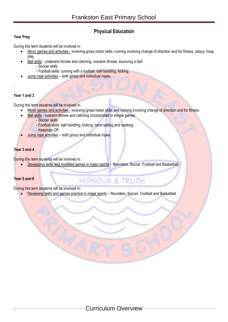# **Physical Education**

# **Year Prep**

During this term students will be involved in:

- Minor games and activities involving gross motor skills, running involving change of direction and for fitness, relays, hoop play.
- Ball skills underarm throws and catching, overarm throws, bouncing a ball.
	- Soccer skills
	- Football skills: running with a football, ball handling, kicking.
- Jump rope activities both group and individual ropes.

# **Year 1 and 2**

.

During this term students will be involved in:

- Minor games and activities involving gross motor skills and running involving change of direction and for fitness.
- Ball skills overarm throws and catching incorporated in simple games
	- Soccer skills
	- Football skills: ball handling, kicking, hand balling and marking
	- Keepings Off
- Jump rope activities both group and individual ropes.

# **Year 3 and 4**

During this term students will be involved in:

Developing skills and modified games in major sports – Rounders, Soccer, Football and Basketball.

# **Year 5 and 6**

**HONOUR & TRUTH** 

During this term students will be involved in:

Reviewing skills and games practice in major sports – Rounders, Soccer, Football and Basketball.